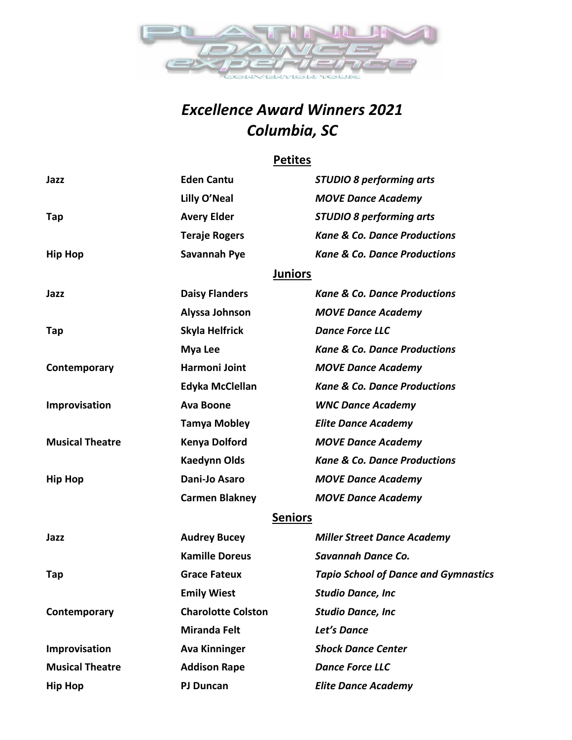

# *Excellence Award Winners 2021 Columbia, SC*

### **Petites**

| Jazz                   | <b>Eden Cantu</b>         | <b>STUDIO 8 performing arts</b>             |
|------------------------|---------------------------|---------------------------------------------|
|                        | Lilly O'Neal              | <b>MOVE Dance Academy</b>                   |
| Tap                    | <b>Avery Elder</b>        | <b>STUDIO 8 performing arts</b>             |
|                        | <b>Teraje Rogers</b>      | <b>Kane &amp; Co. Dance Productions</b>     |
| <b>Hip Hop</b>         | Savannah Pye              | <b>Kane &amp; Co. Dance Productions</b>     |
|                        | <b>Juniors</b>            |                                             |
| Jazz                   | <b>Daisy Flanders</b>     | <b>Kane &amp; Co. Dance Productions</b>     |
|                        | Alyssa Johnson            | <b>MOVE Dance Academy</b>                   |
| Tap                    | Skyla Helfrick            | <b>Dance Force LLC</b>                      |
|                        | <b>Mya Lee</b>            | <b>Kane &amp; Co. Dance Productions</b>     |
| Contemporary           | Harmoni Joint             | <b>MOVE Dance Academy</b>                   |
|                        | Edyka McClellan           | <b>Kane &amp; Co. Dance Productions</b>     |
| Improvisation          | <b>Ava Boone</b>          | <b>WNC Dance Academy</b>                    |
|                        | <b>Tamya Mobley</b>       | <b>Elite Dance Academy</b>                  |
| <b>Musical Theatre</b> | <b>Kenya Dolford</b>      | <b>MOVE Dance Academy</b>                   |
|                        | <b>Kaedynn Olds</b>       | <b>Kane &amp; Co. Dance Productions</b>     |
| <b>Hip Hop</b>         | Dani-Jo Asaro             | <b>MOVE Dance Academy</b>                   |
|                        | <b>Carmen Blakney</b>     | <b>MOVE Dance Academy</b>                   |
|                        | <b>Seniors</b>            |                                             |
| Jazz                   | <b>Audrey Bucey</b>       | <b>Miller Street Dance Academy</b>          |
|                        | <b>Kamille Doreus</b>     | Savannah Dance Co.                          |
| Tap                    | <b>Grace Fateux</b>       | <b>Tapio School of Dance and Gymnastics</b> |
|                        | <b>Emily Wiest</b>        | Studio Dance, Inc                           |
| Contemporary           | <b>Charolotte Colston</b> | <b>Studio Dance, Inc</b>                    |
|                        | <b>Miranda Felt</b>       | Let's Dance                                 |
| Improvisation          | <b>Ava Kinninger</b>      | <b>Shock Dance Center</b>                   |
| <b>Musical Theatre</b> | <b>Addison Rape</b>       | <b>Dance Force LLC</b>                      |
| <b>Hip Hop</b>         | <b>PJ Duncan</b>          | <b>Elite Dance Academy</b>                  |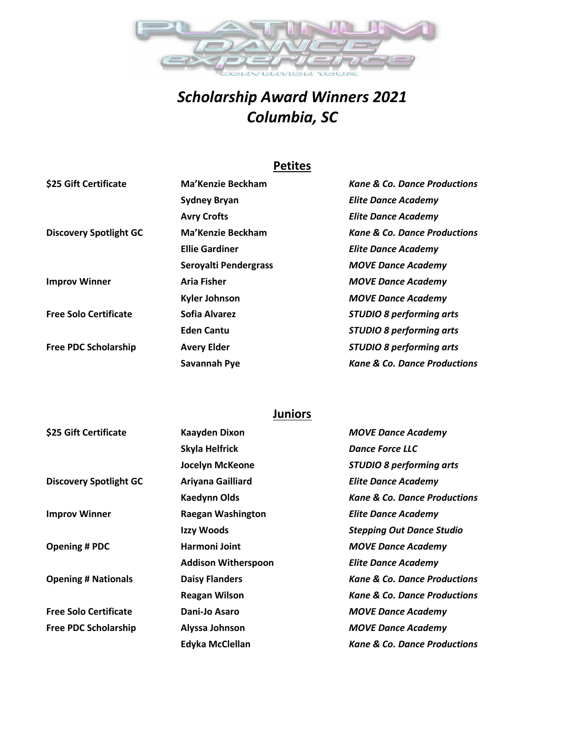

# *Scholarship Award Winners 2021 Columbia, SC*

## **Petites**

| \$25 Gift Certificate         | Ma'Kenzie Beckham     | <b>Kane &amp; Co. Dance Productions</b> |
|-------------------------------|-----------------------|-----------------------------------------|
|                               | <b>Sydney Bryan</b>   | <b>Elite Dance Academy</b>              |
|                               | <b>Avry Crofts</b>    | <b>Elite Dance Academy</b>              |
| <b>Discovery Spotlight GC</b> | Ma'Kenzie Beckham     | <b>Kane &amp; Co. Dance Productions</b> |
|                               | <b>Ellie Gardiner</b> | <b>Elite Dance Academy</b>              |
|                               | Seroyalti Pendergrass | <b>MOVE Dance Academy</b>               |
| <b>Improv Winner</b>          | <b>Aria Fisher</b>    | <b>MOVE Dance Academy</b>               |
|                               | <b>Kyler Johnson</b>  | <b>MOVE Dance Academy</b>               |
| <b>Free Solo Certificate</b>  | Sofia Alvarez         | <b>STUDIO 8 performing arts</b>         |
|                               | <b>Eden Cantu</b>     | <b>STUDIO 8 performing arts</b>         |
| <b>Free PDC Scholarship</b>   | <b>Avery Elder</b>    | <b>STUDIO 8 performing arts</b>         |
|                               | Savannah Pye          | <b>Kane &amp; Co. Dance Productions</b> |

### **Juniors**

| \$25 Gift Certificate         | <b>Kaayden Dixon</b>       | <b>MOVE Dance Academy</b>               |
|-------------------------------|----------------------------|-----------------------------------------|
|                               | Skyla Helfrick             | <b>Dance Force LLC</b>                  |
|                               | <b>Jocelyn McKeone</b>     | <b>STUDIO 8 performing arts</b>         |
| <b>Discovery Spotlight GC</b> | Ariyana Gailliard          | <b>Elite Dance Academy</b>              |
|                               | <b>Kaedynn Olds</b>        | <b>Kane &amp; Co. Dance Productions</b> |
| <b>Improv Winner</b>          | <b>Raegan Washington</b>   | <b>Elite Dance Academy</b>              |
|                               | Izzy Woods                 | <b>Stepping Out Dance Studio</b>        |
| <b>Opening # PDC</b>          | Harmoni Joint              | <b>MOVE Dance Academy</b>               |
|                               | <b>Addison Witherspoon</b> | <b>Elite Dance Academy</b>              |
| <b>Opening # Nationals</b>    | <b>Daisy Flanders</b>      | <b>Kane &amp; Co. Dance Productions</b> |
|                               | <b>Reagan Wilson</b>       | <b>Kane &amp; Co. Dance Productions</b> |
| <b>Free Solo Certificate</b>  | Dani-Jo Asaro              | <b>MOVE Dance Academy</b>               |
| <b>Free PDC Scholarship</b>   | Alyssa Johnson             | <b>MOVE Dance Academy</b>               |
|                               | Edyka McClellan            | <b>Kane &amp; Co. Dance Productions</b> |